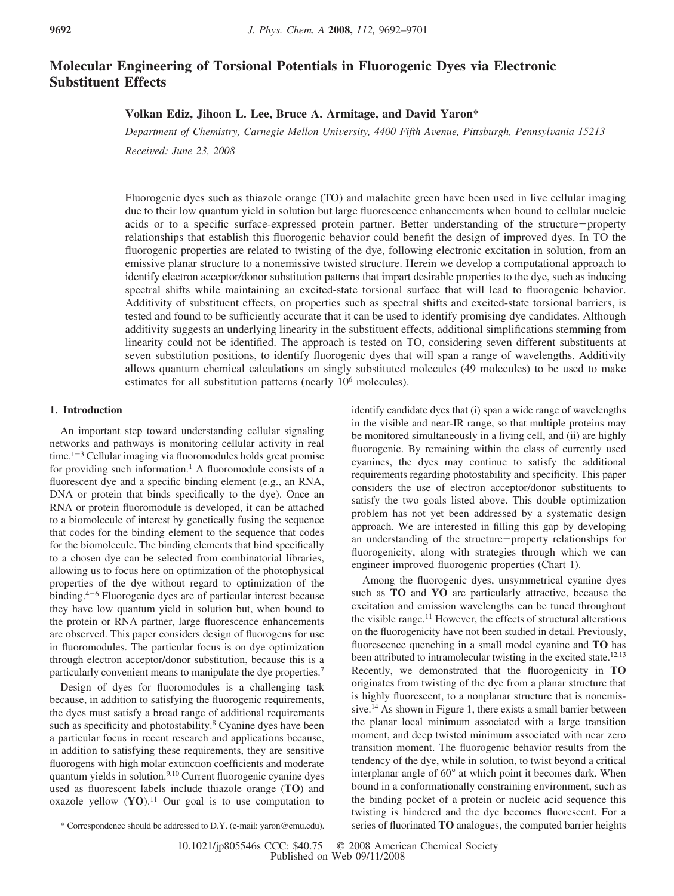# **Molecular Engineering of Torsional Potentials in Fluorogenic Dyes via Electronic Substituent Effects**

## **Volkan Ediz, Jihoon L. Lee, Bruce A. Armitage, and David Yaron\***

*Department of Chemistry, Carnegie Mellon University, 4400 Fifth Avenue, Pittsburgh, Pennsylvania 15213 Recei*V*ed: June 23, 2008*

Fluorogenic dyes such as thiazole orange (TO) and malachite green have been used in live cellular imaging due to their low quantum yield in solution but large fluorescence enhancements when bound to cellular nucleic acids or to a specific surface-expressed protein partner. Better understanding of the structure-property relationships that establish this fluorogenic behavior could benefit the design of improved dyes. In TO the fluorogenic properties are related to twisting of the dye, following electronic excitation in solution, from an emissive planar structure to a nonemissive twisted structure. Herein we develop a computational approach to identify electron acceptor/donor substitution patterns that impart desirable properties to the dye, such as inducing spectral shifts while maintaining an excited-state torsional surface that will lead to fluorogenic behavior. Additivity of substituent effects, on properties such as spectral shifts and excited-state torsional barriers, is tested and found to be sufficiently accurate that it can be used to identify promising dye candidates. Although additivity suggests an underlying linearity in the substituent effects, additional simplifications stemming from linearity could not be identified. The approach is tested on TO, considering seven different substituents at seven substitution positions, to identify fluorogenic dyes that will span a range of wavelengths. Additivity allows quantum chemical calculations on singly substituted molecules (49 molecules) to be used to make estimates for all substitution patterns (nearly 10<sup>6</sup> molecules).

## **1. Introduction**

An important step toward understanding cellular signaling networks and pathways is monitoring cellular activity in real time. $1-3$  Cellular imaging via fluoromodules holds great promise for providing such information.<sup>1</sup> A fluoromodule consists of a fluorescent dye and a specific binding element (e.g., an RNA, DNA or protein that binds specifically to the dye). Once an RNA or protein fluoromodule is developed, it can be attached to a biomolecule of interest by genetically fusing the sequence that codes for the binding element to the sequence that codes for the biomolecule. The binding elements that bind specifically to a chosen dye can be selected from combinatorial libraries, allowing us to focus here on optimization of the photophysical properties of the dye without regard to optimization of the binding.4-<sup>6</sup> Fluorogenic dyes are of particular interest because they have low quantum yield in solution but, when bound to the protein or RNA partner, large fluorescence enhancements are observed. This paper considers design of fluorogens for use in fluoromodules. The particular focus is on dye optimization through electron acceptor/donor substitution, because this is a particularly convenient means to manipulate the dye properties.<sup>7</sup>

Design of dyes for fluoromodules is a challenging task because, in addition to satisfying the fluorogenic requirements, the dyes must satisfy a broad range of additional requirements such as specificity and photostability.<sup>8</sup> Cyanine dyes have been a particular focus in recent research and applications because, in addition to satisfying these requirements, they are sensitive fluorogens with high molar extinction coefficients and moderate quantum yields in solution.<sup>9,10</sup> Current fluorogenic cyanine dyes used as fluorescent labels include thiazole orange (**TO**) and oxazole yellow  $(YO)^{11}$  Our goal is to use computation to identify candidate dyes that (i) span a wide range of wavelengths in the visible and near-IR range, so that multiple proteins may be monitored simultaneously in a living cell, and (ii) are highly fluorogenic. By remaining within the class of currently used cyanines, the dyes may continue to satisfy the additional requirements regarding photostability and specificity. This paper considers the use of electron acceptor/donor substituents to satisfy the two goals listed above. This double optimization problem has not yet been addressed by a systematic design approach. We are interested in filling this gap by developing an understanding of the structure-property relationships for fluorogenicity, along with strategies through which we can engineer improved fluorogenic properties (Chart 1).

Among the fluorogenic dyes, unsymmetrical cyanine dyes such as **TO** and **YO** are particularly attractive, because the excitation and emission wavelengths can be tuned throughout the visible range. $<sup>11</sup>$  However, the effects of structural alterations</sup> on the fluorogenicity have not been studied in detail. Previously, fluorescence quenching in a small model cyanine and **TO** has been attributed to intramolecular twisting in the excited state.<sup>12,13</sup> Recently, we demonstrated that the fluorogenicity in **TO** originates from twisting of the dye from a planar structure that is highly fluorescent, to a nonplanar structure that is nonemissive.<sup>14</sup> As shown in Figure 1, there exists a small barrier between the planar local minimum associated with a large transition moment, and deep twisted minimum associated with near zero transition moment. The fluorogenic behavior results from the tendency of the dye, while in solution, to twist beyond a critical interplanar angle of 60° at which point it becomes dark. When bound in a conformationally constraining environment, such as the binding pocket of a protein or nucleic acid sequence this twisting is hindered and the dye becomes fluorescent. For a \* Correspondence should be addressed to D.Y. (e-mail: yaron@cmu.edu). series of fluorinated **TO** analogues, the computed barrier heights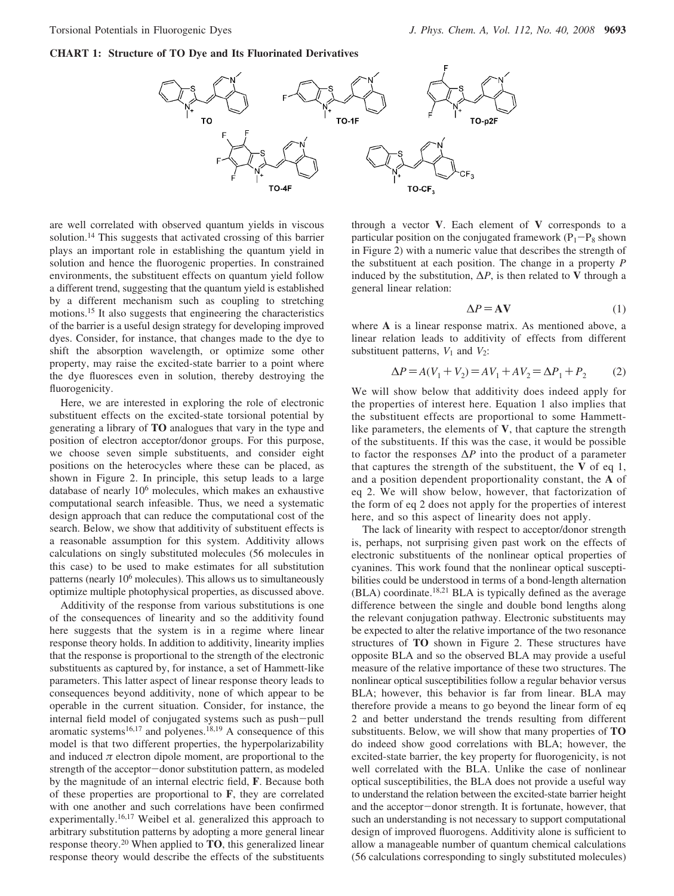**CHART 1: Structure of TO Dye and Its Fluorinated Derivatives**



are well correlated with observed quantum yields in viscous solution.14 This suggests that activated crossing of this barrier plays an important role in establishing the quantum yield in solution and hence the fluorogenic properties. In constrained environments, the substituent effects on quantum yield follow a different trend, suggesting that the quantum yield is established by a different mechanism such as coupling to stretching motions.15 It also suggests that engineering the characteristics of the barrier is a useful design strategy for developing improved dyes. Consider, for instance, that changes made to the dye to shift the absorption wavelength, or optimize some other property, may raise the excited-state barrier to a point where the dye fluoresces even in solution, thereby destroying the fluorogenicity.

Here, we are interested in exploring the role of electronic substituent effects on the excited-state torsional potential by generating a library of **TO** analogues that vary in the type and position of electron acceptor/donor groups. For this purpose, we choose seven simple substituents, and consider eight positions on the heterocycles where these can be placed, as shown in Figure 2. In principle, this setup leads to a large database of nearly 106 molecules, which makes an exhaustive computational search infeasible. Thus, we need a systematic design approach that can reduce the computational cost of the search. Below, we show that additivity of substituent effects is a reasonable assumption for this system. Additivity allows calculations on singly substituted molecules (56 molecules in this case) to be used to make estimates for all substitution patterns (nearly 106 molecules). This allows us to simultaneously optimize multiple photophysical properties, as discussed above.

Additivity of the response from various substitutions is one of the consequences of linearity and so the additivity found here suggests that the system is in a regime where linear response theory holds. In addition to additivity, linearity implies that the response is proportional to the strength of the electronic substituents as captured by, for instance, a set of Hammett-like parameters. This latter aspect of linear response theory leads to consequences beyond additivity, none of which appear to be operable in the current situation. Consider, for instance, the internal field model of conjugated systems such as push-pull aromatic systems<sup>16,17</sup> and polyenes.<sup>18,19</sup> A consequence of this model is that two different properties, the hyperpolarizability and induced  $\pi$  electron dipole moment, are proportional to the strength of the acceptor-donor substitution pattern, as modeled by the magnitude of an internal electric field, **F**. Because both of these properties are proportional to **F**, they are correlated with one another and such correlations have been confirmed experimentally.16,17 Weibel et al. generalized this approach to arbitrary substitution patterns by adopting a more general linear response theory.20 When applied to **TO**, this generalized linear response theory would describe the effects of the substituents through a vector **V**. Each element of **V** corresponds to a particular position on the conjugated framework  $(P_1-P_8)$  shown in Figure 2) with a numeric value that describes the strength of the substituent at each position. The change in a property *P* induced by the substitution,  $\Delta P$ , is then related to **V** through a general linear relation:

$$
\Delta P = \mathbf{A} \mathbf{V} \tag{1}
$$

where **A** is a linear response matrix. As mentioned above, a linear relation leads to additivity of effects from different substituent patterns,  $V_1$  and  $V_2$ :

$$
\Delta P = A(V_1 + V_2) = AV_1 + AV_2 = \Delta P_1 + P_2 \tag{2}
$$

We will show below that additivity does indeed apply for the properties of interest here. Equation 1 also implies that the substituent effects are proportional to some Hammettlike parameters, the elements of **V**, that capture the strength of the substituents. If this was the case, it would be possible to factor the responses ∆*P* into the product of a parameter that captures the strength of the substituent, the **V** of eq 1, and a position dependent proportionality constant, the **A** of eq 2. We will show below, however, that factorization of the form of eq 2 does not apply for the properties of interest here, and so this aspect of linearity does not apply.

The lack of linearity with respect to acceptor/donor strength is, perhaps, not surprising given past work on the effects of electronic substituents of the nonlinear optical properties of cyanines. This work found that the nonlinear optical susceptibilities could be understood in terms of a bond-length alternation  $(BLA)$  coordinate.<sup>18,21</sup> BLA is typically defined as the average difference between the single and double bond lengths along the relevant conjugation pathway. Electronic substituents may be expected to alter the relative importance of the two resonance structures of **TO** shown in Figure 2. These structures have opposite BLA and so the observed BLA may provide a useful measure of the relative importance of these two structures. The nonlinear optical susceptibilities follow a regular behavior versus BLA; however, this behavior is far from linear. BLA may therefore provide a means to go beyond the linear form of eq 2 and better understand the trends resulting from different substituents. Below, we will show that many properties of **TO** do indeed show good correlations with BLA; however, the excited-state barrier, the key property for fluorogenicity, is not well correlated with the BLA. Unlike the case of nonlinear optical susceptibilities, the BLA does not provide a useful way to understand the relation between the excited-state barrier height and the acceptor-donor strength. It is fortunate, however, that such an understanding is not necessary to support computational design of improved fluorogens. Additivity alone is sufficient to allow a manageable number of quantum chemical calculations (56 calculations corresponding to singly substituted molecules)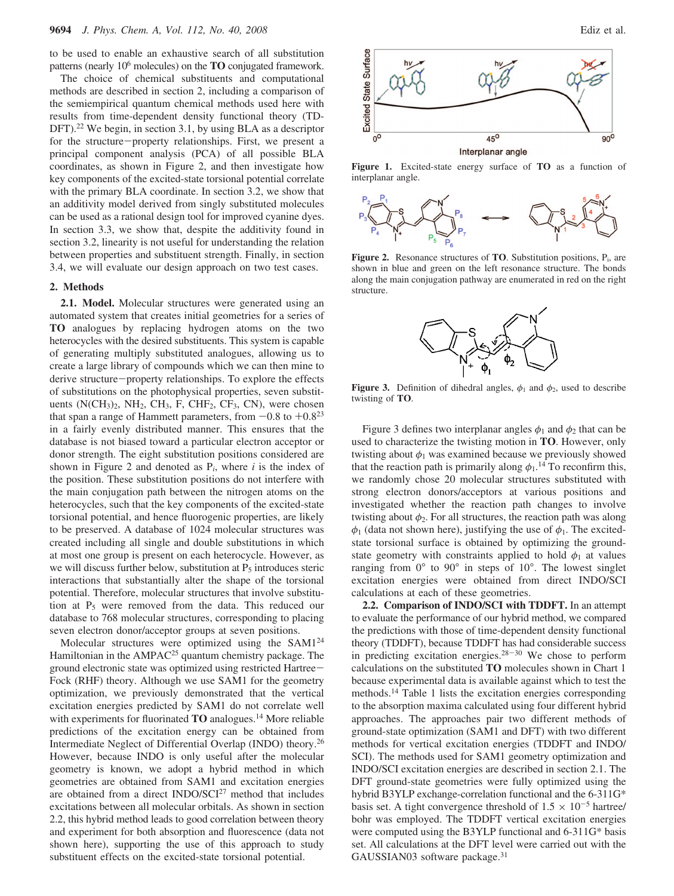to be used to enable an exhaustive search of all substitution patterns (nearly 106 molecules) on the **TO** conjugated framework.

The choice of chemical substituents and computational methods are described in section 2, including a comparison of the semiempirical quantum chemical methods used here with results from time-dependent density functional theory (TD-DFT).<sup>22</sup> We begin, in section 3.1, by using BLA as a descriptor for the structure-property relationships. First, we present a principal component analysis (PCA) of all possible BLA coordinates, as shown in Figure 2, and then investigate how key components of the excited-state torsional potential correlate with the primary BLA coordinate. In section 3.2, we show that an additivity model derived from singly substituted molecules can be used as a rational design tool for improved cyanine dyes. In section 3.3, we show that, despite the additivity found in section 3.2, linearity is not useful for understanding the relation between properties and substituent strength. Finally, in section 3.4, we will evaluate our design approach on two test cases.

#### **2. Methods**

**2.1. Model.** Molecular structures were generated using an automated system that creates initial geometries for a series of **TO** analogues by replacing hydrogen atoms on the two heterocycles with the desired substituents. This system is capable of generating multiply substituted analogues, allowing us to create a large library of compounds which we can then mine to derive structure-property relationships. To explore the effects of substitutions on the photophysical properties, seven substituents  $(N(CH_3)_2, NH_2, CH_3, F, CHF_2, CF_3, CN)$ , were chosen that span a range of Hammett parameters, from  $-0.8$  to  $+0.8^{23}$ in a fairly evenly distributed manner. This ensures that the database is not biased toward a particular electron acceptor or donor strength. The eight substitution positions considered are shown in Figure 2 and denoted as  $P_i$ , where *i* is the index of the position. These substitution positions do not interfere with the main conjugation path between the nitrogen atoms on the heterocycles, such that the key components of the excited-state torsional potential, and hence fluorogenic properties, are likely to be preserved. A database of 1024 molecular structures was created including all single and double substitutions in which at most one group is present on each heterocycle. However, as we will discuss further below, substitution at  $P_5$  introduces steric interactions that substantially alter the shape of the torsional potential. Therefore, molecular structures that involve substitution at P5 were removed from the data. This reduced our database to 768 molecular structures, corresponding to placing seven electron donor/acceptor groups at seven positions.

Molecular structures were optimized using the SAM124 Hamiltonian in the AMPAC<sup>25</sup> quantum chemistry package. The ground electronic state was optimized using restricted Hartree-Fock (RHF) theory. Although we use SAM1 for the geometry optimization, we previously demonstrated that the vertical excitation energies predicted by SAM1 do not correlate well with experiments for fluorinated **TO** analogues.<sup>14</sup> More reliable predictions of the excitation energy can be obtained from Intermediate Neglect of Differential Overlap (INDO) theory.26 However, because INDO is only useful after the molecular geometry is known, we adopt a hybrid method in which geometries are obtained from SAM1 and excitation energies are obtained from a direct INDO/SCI $^{27}$  method that includes excitations between all molecular orbitals. As shown in section 2.2, this hybrid method leads to good correlation between theory and experiment for both absorption and fluorescence (data not shown here), supporting the use of this approach to study substituent effects on the excited-state torsional potential.



**Figure 1.** Excited-state energy surface of **TO** as a function of interplanar angle.



**Figure 2.** Resonance structures of **TO**. Substitution positions, Pi, are shown in blue and green on the left resonance structure. The bonds along the main conjugation pathway are enumerated in red on the right structure.



**Figure 3.** Definition of dihedral angles,  $\phi_1$  and  $\phi_2$ , used to describe twisting of **TO**.

Figure 3 defines two interplanar angles  $\phi_1$  and  $\phi_2$  that can be used to characterize the twisting motion in **TO**. However, only twisting about  $\phi_1$  was examined because we previously showed that the reaction path is primarily along  $\phi_1$ .<sup>14</sup> To reconfirm this, we randomly chose 20 molecular structures substituted with strong electron donors/acceptors at various positions and investigated whether the reaction path changes to involve twisting about  $\phi_2$ . For all structures, the reaction path was along  $\phi_1$  (data not shown here), justifying the use of  $\phi_1$ . The excitedstate torsional surface is obtained by optimizing the groundstate geometry with constraints applied to hold  $\phi_1$  at values ranging from 0° to 90° in steps of 10°. The lowest singlet excitation energies were obtained from direct INDO/SCI calculations at each of these geometries.

**2.2. Comparison of INDO/SCI with TDDFT.** In an attempt to evaluate the performance of our hybrid method, we compared the predictions with those of time-dependent density functional theory (TDDFT), because TDDFT has had considerable success in predicting excitation energies.<sup>28-30</sup> We chose to perform calculations on the substituted **TO** molecules shown in Chart 1 because experimental data is available against which to test the methods.14 Table 1 lists the excitation energies corresponding to the absorption maxima calculated using four different hybrid approaches. The approaches pair two different methods of ground-state optimization (SAM1 and DFT) with two different methods for vertical excitation energies (TDDFT and INDO/ SCI). The methods used for SAM1 geometry optimization and INDO/SCI excitation energies are described in section 2.1. The DFT ground-state geometries were fully optimized using the hybrid B3YLP exchange-correlation functional and the 6-311G\* basis set. A tight convergence threshold of  $1.5 \times 10^{-5}$  hartree/ bohr was employed. The TDDFT vertical excitation energies were computed using the B3YLP functional and 6-311G\* basis set. All calculations at the DFT level were carried out with the GAUSSIAN03 software package.<sup>31</sup>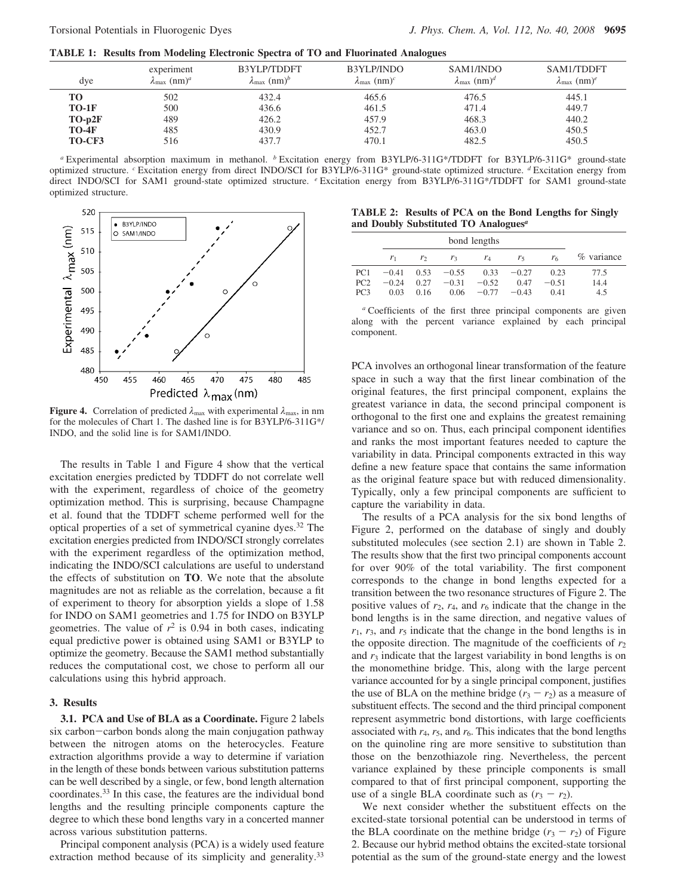**TABLE 1: Results from Modeling Electronic Spectra of TO and Fluorinated Analogues**

| dye          | experiment<br>$\lambda_{\max}$ (nm) <sup>a</sup> | B3YLP/TDDFT<br>$\lambda_{\max}$ (nm) <sup>b</sup> | B3YLP/INDO<br>$\lambda_{\max}$ (nm) <sup>c</sup> | SAM1/INDO<br>$\lambda_{\max}$ (nm) <sup>d</sup> | SAM1/TDDFT<br>$\lambda_{\max}$ (nm) <sup>e</sup> |
|--------------|--------------------------------------------------|---------------------------------------------------|--------------------------------------------------|-------------------------------------------------|--------------------------------------------------|
| TO           | 502                                              | 432.4                                             | 465.6                                            | 476.5                                           | 445.1                                            |
| <b>TO-1F</b> | 500                                              | 436.6                                             | 461.5                                            | 471.4                                           | 449.7                                            |
| $TO-p2F$     | 489                                              | 426.2                                             | 457.9                                            | 468.3                                           | 440.2                                            |
| $TO-4F$      | 485                                              | 430.9                                             | 452.7                                            | 463.0                                           | 450.5                                            |
| TO-CF3       | 516                                              | 437.7                                             | 470.1                                            | 482.5                                           | 450.5                                            |

*<sup>a</sup>* Experimental absorption maximum in methanol. *<sup>b</sup>* Excitation energy from B3YLP/6-311G\*/TDDFT for B3YLP/6-311G\* ground-state optimized structure. *<sup>c</sup>* Excitation energy from direct INDO/SCI for B3YLP/6-311G\* ground-state optimized structure. *<sup>d</sup>* Excitation energy from direct INDO/SCI for SAM1 ground-state optimized structure. *<sup>e</sup>* Excitation energy from B3YLP/6-311G\*/TDDFT for SAM1 ground-state optimized structure.



**Figure 4.** Correlation of predicted  $\lambda_{\text{max}}$  with experimental  $\lambda_{\text{max}}$ , in nm for the molecules of Chart 1. The dashed line is for B3YLP/6-311G\*/ INDO, and the solid line is for SAM1/INDO.

The results in Table 1 and Figure 4 show that the vertical excitation energies predicted by TDDFT do not correlate well with the experiment, regardless of choice of the geometry optimization method. This is surprising, because Champagne et al. found that the TDDFT scheme performed well for the optical properties of a set of symmetrical cyanine dyes.32 The excitation energies predicted from INDO/SCI strongly correlates with the experiment regardless of the optimization method, indicating the INDO/SCI calculations are useful to understand the effects of substitution on **TO**. We note that the absolute magnitudes are not as reliable as the correlation, because a fit of experiment to theory for absorption yields a slope of 1.58 for INDO on SAM1 geometries and 1.75 for INDO on B3YLP geometries. The value of  $r^2$  is 0.94 in both cases, indicating equal predictive power is obtained using SAM1 or B3YLP to optimize the geometry. Because the SAM1 method substantially reduces the computational cost, we chose to perform all our calculations using this hybrid approach.

### **3. Results**

**3.1. PCA and Use of BLA as a Coordinate.** Figure 2 labels six carbon-carbon bonds along the main conjugation pathway between the nitrogen atoms on the heterocycles. Feature extraction algorithms provide a way to determine if variation in the length of these bonds between various substitution patterns can be well described by a single, or few, bond length alternation coordinates.33 In this case, the features are the individual bond lengths and the resulting principle components capture the degree to which these bond lengths vary in a concerted manner across various substitution patterns.

Principal component analysis (PCA) is a widely used feature extraction method because of its simplicity and generality.<sup>33</sup>

| <b>TABLE 2: Results of PCA on the Bond Lengths for Singly</b> |  |  |  |
|---------------------------------------------------------------|--|--|--|
| and Doubly Substituted TO Analogues <sup>a</sup>              |  |  |  |

|                 | $r_{1}$            | r,           | r <sub>3</sub>     | $r_4$           | r,              | r <sub>6</sub>  | % variance   |
|-----------------|--------------------|--------------|--------------------|-----------------|-----------------|-----------------|--------------|
| PC1<br>PC2      | $-0.41$<br>$-0.24$ | 0.53<br>0.27 | $-0.55$<br>$-0.31$ | 0.33<br>$-0.52$ | $-0.27$<br>0.47 | 0.23<br>$-0.51$ | 77.5<br>14.4 |
| PC <sub>3</sub> | 0.03               | 0.16         | 0.06               | $-0.77$         | $-0.43$         | 0.41            | 4.5          |

*<sup>a</sup>* Coefficients of the first three principal components are given along with the percent variance explained by each principal component.

PCA involves an orthogonal linear transformation of the feature space in such a way that the first linear combination of the original features, the first principal component, explains the greatest variance in data, the second principal component is orthogonal to the first one and explains the greatest remaining variance and so on. Thus, each principal component identifies and ranks the most important features needed to capture the variability in data. Principal components extracted in this way define a new feature space that contains the same information as the original feature space but with reduced dimensionality. Typically, only a few principal components are sufficient to capture the variability in data.

The results of a PCA analysis for the six bond lengths of Figure 2, performed on the database of singly and doubly substituted molecules (see section 2.1) are shown in Table 2. The results show that the first two principal components account for over 90% of the total variability. The first component corresponds to the change in bond lengths expected for a transition between the two resonance structures of Figure 2. The positive values of  $r_2$ ,  $r_4$ , and  $r_6$  indicate that the change in the bond lengths is in the same direction, and negative values of  $r_1$ ,  $r_3$ , and  $r_5$  indicate that the change in the bond lengths is in the opposite direction. The magnitude of the coefficients of *r*<sup>2</sup> and  $r<sub>3</sub>$  indicate that the largest variability in bond lengths is on the monomethine bridge. This, along with the large percent variance accounted for by a single principal component, justifies the use of BLA on the methine bridge  $(r_3 - r_2)$  as a measure of substituent effects. The second and the third principal component represent asymmetric bond distortions, with large coefficients associated with  $r_4$ ,  $r_5$ , and  $r_6$ . This indicates that the bond lengths on the quinoline ring are more sensitive to substitution than those on the benzothiazole ring. Nevertheless, the percent variance explained by these principle components is small compared to that of first principal component, supporting the use of a single BLA coordinate such as  $(r_3 - r_2)$ .

We next consider whether the substituent effects on the excited-state torsional potential can be understood in terms of the BLA coordinate on the methine bridge  $(r_3 - r_2)$  of Figure 2. Because our hybrid method obtains the excited-state torsional potential as the sum of the ground-state energy and the lowest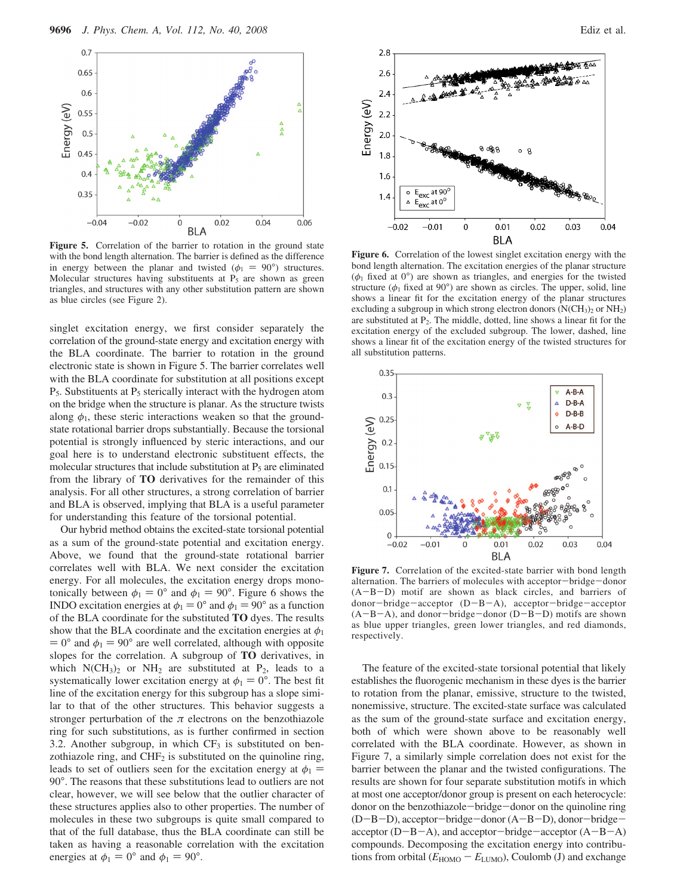

Figure 5. Correlation of the barrier to rotation in the ground state with the bond length alternation. The barrier is defined as the difference in energy between the planar and twisted ( $\phi_1 = 90^\circ$ ) structures. Molecular structures having substituents at  $P_5$  are shown as green triangles, and structures with any other substitution pattern are shown as blue circles (see Figure 2).

singlet excitation energy, we first consider separately the correlation of the ground-state energy and excitation energy with the BLA coordinate. The barrier to rotation in the ground electronic state is shown in Figure 5. The barrier correlates well with the BLA coordinate for substitution at all positions except  $P_5$ . Substituents at  $P_5$  sterically interact with the hydrogen atom on the bridge when the structure is planar. As the structure twists along  $\phi_1$ , these steric interactions weaken so that the groundstate rotational barrier drops substantially. Because the torsional potential is strongly influenced by steric interactions, and our goal here is to understand electronic substituent effects, the molecular structures that include substitution at  $P_5$  are eliminated from the library of **TO** derivatives for the remainder of this analysis. For all other structures, a strong correlation of barrier and BLA is observed, implying that BLA is a useful parameter for understanding this feature of the torsional potential.

Our hybrid method obtains the excited-state torsional potential as a sum of the ground-state potential and excitation energy. Above, we found that the ground-state rotational barrier correlates well with BLA. We next consider the excitation energy. For all molecules, the excitation energy drops monotonically between  $\phi_1 = 0^\circ$  and  $\phi_1 = 90^\circ$ . Figure 6 shows the INDO excitation energies at  $\phi_1 = 0^\circ$  and  $\phi_1 = 90^\circ$  as a function of the BLA coordinate for the substituted **TO** dyes. The results show that the BLA coordinate and the excitation energies at  $\phi_1$  $= 0^{\circ}$  and  $\phi_1 = 90^{\circ}$  are well correlated, although with opposite slopes for the correlation. A subgroup of **TO** derivatives, in which  $N(CH_3)_2$  or  $NH_2$  are substituted at P<sub>2</sub>, leads to a systematically lower excitation energy at  $\phi_1 = 0^{\circ}$ . The best fit line of the excitation energy for this subgroup has a slope similar to that of the other structures. This behavior suggests a stronger perturbation of the  $\pi$  electrons on the benzothiazole ring for such substitutions, as is further confirmed in section 3.2. Another subgroup, in which  $CF_3$  is substituted on benzothiazole ring, and  $CHF<sub>2</sub>$  is substituted on the quinoline ring, leads to set of outliers seen for the excitation energy at  $\phi_1$  = 90°. The reasons that these substitutions lead to outliers are not clear, however, we will see below that the outlier character of these structures applies also to other properties. The number of molecules in these two subgroups is quite small compared to that of the full database, thus the BLA coordinate can still be taken as having a reasonable correlation with the excitation energies at  $\phi_1 = 0^\circ$  and  $\phi_1 = 90^\circ$ .



**Figure 6.** Correlation of the lowest singlet excitation energy with the bond length alternation. The excitation energies of the planar structure  $(\phi_1$  fixed at  $0^\circ)$  are shown as triangles, and energies for the twisted structure ( $\phi_1$  fixed at 90 $^{\circ}$ ) are shown as circles. The upper, solid, line shows a linear fit for the excitation energy of the planar structures excluding a subgroup in which strong electron donors  $(N(CH_3)_2 \text{ or } NH_2)$ are substituted at  $P_2$ . The middle, dotted, line shows a linear fit for the excitation energy of the excluded subgroup. The lower, dashed, line shows a linear fit of the excitation energy of the twisted structures for all substitution patterns.



Figure 7. Correlation of the excited-state barrier with bond length alternation. The barriers of molecules with acceptor-bridge-donor (A-B-D) motif are shown as black circles, and barriers of donor-bridge-acceptor (D-B-A), acceptor-bridge-acceptor  $(A-B-A)$ , and donor-bridge-donor  $(D-B-D)$  motifs are shown as blue upper triangles, green lower triangles, and red diamonds, respectively.

The feature of the excited-state torsional potential that likely establishes the fluorogenic mechanism in these dyes is the barrier to rotation from the planar, emissive, structure to the twisted, nonemissive, structure. The excited-state surface was calculated as the sum of the ground-state surface and excitation energy, both of which were shown above to be reasonably well correlated with the BLA coordinate. However, as shown in Figure 7, a similarly simple correlation does not exist for the barrier between the planar and the twisted configurations. The results are shown for four separate substitution motifs in which at most one acceptor/donor group is present on each heterocycle: donor on the benzothiazole-bridge-donor on the quinoline ring (D-B-D), acceptor-bridge-donor (A-B-D), donor-bridgeacceptor  $(D-B-A)$ , and acceptor-bridge-acceptor  $(A-B-A)$ compounds. Decomposing the excitation energy into contributions from orbital  $(E_{HOMO} - E_{LUMO})$ , Coulomb (J) and exchange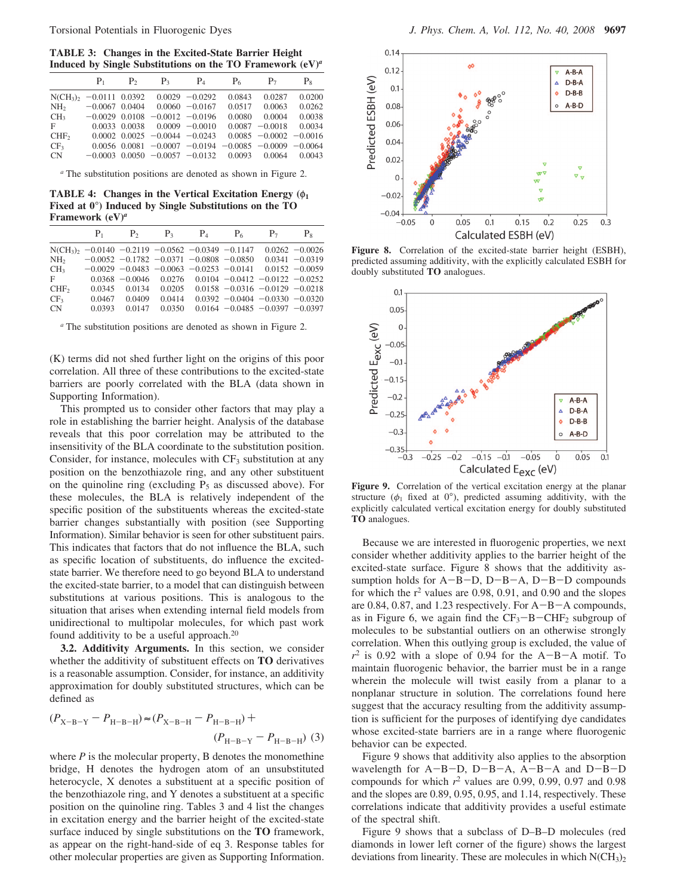**TABLE 3: Changes in the Excited-State Barrier Height Induced by Single Substitutions on the TO Framework (eV)***<sup>a</sup>*

|                  | $P_{1}$ | $P_{2}$ | $P_3$                                     | $P_4$ | $P_6$  | $P_7$                                                               | $P_8$  |
|------------------|---------|---------|-------------------------------------------|-------|--------|---------------------------------------------------------------------|--------|
|                  |         |         | $N(CH_3)$ , -0.0111 0.0392 0.0029 -0.0292 |       | 0.0843 | 0.0287                                                              | 0.0200 |
| NH <sub>2</sub>  |         |         | $-0.0067$ 0.0404 0.0060 $-0.0167$         |       | 0.0517 | 0.0063                                                              | 0.0262 |
| CH <sub>3</sub>  |         |         | $-0.0029$ 0.0108 $-0.0012$ $-0.0196$      |       | 0.0080 | 0.0004                                                              | 0.0038 |
| F                |         |         | $0.0033$ $0.0038$ $0.0009$ $-0.0010$      |       |        | $0.0087 - 0.0018$ 0.0034                                            |        |
| CHF <sub>2</sub> |         |         | $0.0002$ $0.0025$ $-0.0044$ $-0.0243$     |       |        | $0.0085 -0.0002 -0.0016$                                            |        |
| CF <sub>3</sub>  |         |         |                                           |       |        | $0.0056$ $0.0081$ $-0.0007$ $-0.0194$ $-0.0085$ $-0.0009$ $-0.0064$ |        |
| <b>CN</b>        |         |         |                                           |       |        | $-0.0003$ 0.0050 $-0.0057$ $-0.0132$ 0.0093 0.0064                  | 0.0043 |

*<sup>a</sup>* The substitution positions are denoted as shown in Figure 2.

**TABLE 4:** Changes in the Vertical Excitation Energy  $(\phi_1)$ **Fixed at 0**°**) Induced by Single Substitutions on the TO Framework (eV)***<sup>a</sup>*

|                  | $P_1$  | P <sub>2</sub>    | $P_3$  | $P_4$                                               | $P_6$ | $P_7$                               | $P_8$             |
|------------------|--------|-------------------|--------|-----------------------------------------------------|-------|-------------------------------------|-------------------|
|                  |        |                   |        | $N(CH_3)$ , -0.0140 -0.2119 -0.0562 -0.0349 -0.1147 |       |                                     | $0.0262 - 0.0026$ |
| NH <sub>2</sub>  |        |                   |        | $-0.0052$ $-0.1782$ $-0.0371$ $-0.0808$ $-0.0850$   |       |                                     | $0.0341 - 0.0319$ |
| CH <sub>3</sub>  |        |                   |        | $-0.0029$ $-0.0483$ $-0.0063$ $-0.0253$ $-0.0141$   |       |                                     | $0.0152 - 0.0059$ |
| $F -$            |        | $0.0368 - 0.0046$ |        | $0.0276$ $0.0104 - 0.0412 - 0.0122 - 0.0252$        |       |                                     |                   |
| CHF <sub>2</sub> | 0.0345 | 0.0134            | 0.0205 |                                                     |       | $0.0158 - 0.0316 - 0.0129 - 0.0218$ |                   |
| CF <sub>3</sub>  | 0.0467 | 0.0409            | 0.0414 |                                                     |       | $0.0392 -0.0404 -0.0330 -0.0320$    |                   |
| <b>CN</b>        | 0.0393 | 0.0147            | 0.0350 |                                                     |       | $0.0164 - 0.0485 - 0.0397 - 0.0397$ |                   |

*<sup>a</sup>* The substitution positions are denoted as shown in Figure 2.

(K) terms did not shed further light on the origins of this poor correlation. All three of these contributions to the excited-state barriers are poorly correlated with the BLA (data shown in Supporting Information).

This prompted us to consider other factors that may play a role in establishing the barrier height. Analysis of the database reveals that this poor correlation may be attributed to the insensitivity of the BLA coordinate to the substitution position. Consider, for instance, molecules with  $CF_3$  substitution at any position on the benzothiazole ring, and any other substituent on the quinoline ring (excluding  $P_5$  as discussed above). For these molecules, the BLA is relatively independent of the specific position of the substituents whereas the excited-state barrier changes substantially with position (see Supporting Information). Similar behavior is seen for other substituent pairs. This indicates that factors that do not influence the BLA, such as specific location of substituents, do influence the excitedstate barrier. We therefore need to go beyond BLA to understand the excited-state barrier, to a model that can distinguish between substitutions at various positions. This is analogous to the situation that arises when extending internal field models from unidirectional to multipolar molecules, for which past work found additivity to be a useful approach.20

**3.2. Additivity Arguments.** In this section, we consider whether the additivity of substituent effects on **TO** derivatives is a reasonable assumption. Consider, for instance, an additivity approximation for doubly substituted structures, which can be defined as

$$
(P_{X-B-Y} - P_{H-B-H}) \approx (P_{X-B-H} - P_{H-B-H}) +
$$
  

$$
(P_{H-B-Y} - P_{H-B-H})
$$
 (3)

where  $P$  is the molecular property,  $B$  denotes the monomethine bridge, H denotes the hydrogen atom of an unsubstituted heterocycle, X denotes a substituent at a specific position of the benzothiazole ring, and Y denotes a substituent at a specific position on the quinoline ring. Tables 3 and 4 list the changes in excitation energy and the barrier height of the excited-state surface induced by single substitutions on the **TO** framework, as appear on the right-hand-side of eq 3. Response tables for other molecular properties are given as Supporting Information.



**Figure 8.** Correlation of the excited-state barrier height (ESBH), predicted assuming additivity, with the explicitly calculated ESBH for doubly substituted **TO** analogues.



Figure 9. Correlation of the vertical excitation energy at the planar structure ( $\phi_1$  fixed at 0°), predicted assuming additivity, with the explicitly calculated vertical excitation energy for doubly substituted **TO** analogues.

Because we are interested in fluorogenic properties, we next consider whether additivity applies to the barrier height of the excited-state surface. Figure 8 shows that the additivity assumption holds for A-B-D, D-B-A, D-B-D compounds for which the  $r^2$  values are 0.98, 0.91, and 0.90 and the slopes are 0.84, 0.87, and 1.23 respectively. For  $A-B-A$  compounds, as in Figure 6, we again find the  $CF_3-B-CHF_2$  subgroup of molecules to be substantial outliers on an otherwise strongly correlation. When this outlying group is excluded, the value of  $r^2$  is 0.92 with a slope of 0.94 for the A-B-A motif. To maintain fluorogenic behavior, the barrier must be in a range wherein the molecule will twist easily from a planar to a nonplanar structure in solution. The correlations found here suggest that the accuracy resulting from the additivity assumption is sufficient for the purposes of identifying dye candidates whose excited-state barriers are in a range where fluorogenic behavior can be expected.

Figure 9 shows that additivity also applies to the absorption wavelength for A-B-D, D-B-A, A-B-A and D-B-D compounds for which  $r^2$  values are 0.99, 0.99, 0.97 and 0.98 and the slopes are 0.89, 0.95, 0.95, and 1.14, respectively. These correlations indicate that additivity provides a useful estimate of the spectral shift.

Figure 9 shows that a subclass of D–B–D molecules (red diamonds in lower left corner of the figure) shows the largest deviations from linearity. These are molecules in which  $N(CH_3)_2$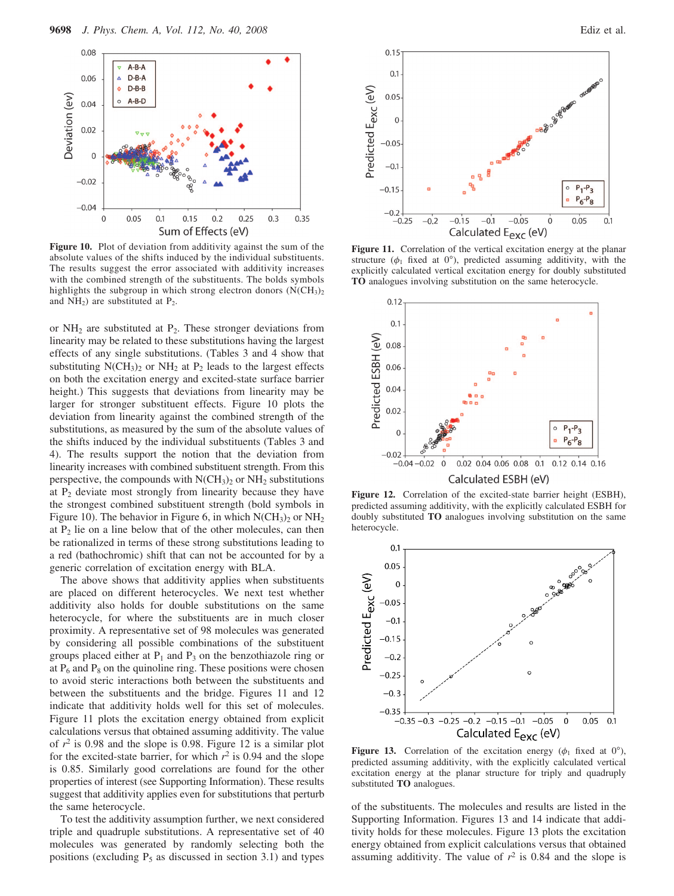

Figure 10. Plot of deviation from additivity against the sum of the absolute values of the shifts induced by the individual substituents. The results suggest the error associated with additivity increases with the combined strength of the substituents. The bolds symbols highlights the subgroup in which strong electron donors  $(N(CH_3)_2)$ and  $NH<sub>2</sub>$ ) are substituted at  $P<sub>2</sub>$ .

or  $NH<sub>2</sub>$  are substituted at  $P<sub>2</sub>$ . These stronger deviations from linearity may be related to these substitutions having the largest effects of any single substitutions. (Tables 3 and 4 show that substituting  $N(CH_3)_2$  or  $NH_2$  at  $P_2$  leads to the largest effects on both the excitation energy and excited-state surface barrier height.) This suggests that deviations from linearity may be larger for stronger substituent effects. Figure 10 plots the deviation from linearity against the combined strength of the substitutions, as measured by the sum of the absolute values of the shifts induced by the individual substituents (Tables 3 and 4). The results support the notion that the deviation from linearity increases with combined substituent strength. From this perspective, the compounds with  $N(CH_3)_2$  or  $NH_2$  substitutions at  $P_2$  deviate most strongly from linearity because they have the strongest combined substituent strength (bold symbols in Figure 10). The behavior in Figure 6, in which  $N(CH_3)_2$  or  $NH_2$ at  $P_2$  lie on a line below that of the other molecules, can then be rationalized in terms of these strong substitutions leading to a red (bathochromic) shift that can not be accounted for by a generic correlation of excitation energy with BLA.

The above shows that additivity applies when substituents are placed on different heterocycles. We next test whether additivity also holds for double substitutions on the same heterocycle, for where the substituents are in much closer proximity. A representative set of 98 molecules was generated by considering all possible combinations of the substituent groups placed either at  $P_1$  and  $P_3$  on the benzothiazole ring or at  $P_6$  and  $P_8$  on the quinoline ring. These positions were chosen to avoid steric interactions both between the substituents and between the substituents and the bridge. Figures 11 and 12 indicate that additivity holds well for this set of molecules. Figure 11 plots the excitation energy obtained from explicit calculations versus that obtained assuming additivity. The value of *r*<sup>2</sup> is 0.98 and the slope is 0.98. Figure 12 is a similar plot for the excited-state barrier, for which  $r^2$  is 0.94 and the slope is 0.85. Similarly good correlations are found for the other properties of interest (see Supporting Information). These results suggest that additivity applies even for substitutions that perturb the same heterocycle.

To test the additivity assumption further, we next considered triple and quadruple substitutions. A representative set of 40 molecules was generated by randomly selecting both the positions (excluding  $P_5$  as discussed in section 3.1) and types



Figure 11. Correlation of the vertical excitation energy at the planar structure ( $\phi_1$  fixed at 0°), predicted assuming additivity, with the explicitly calculated vertical excitation energy for doubly substituted **TO** analogues involving substitution on the same heterocycle.



**Figure 12.** Correlation of the excited-state barrier height (ESBH), predicted assuming additivity, with the explicitly calculated ESBH for doubly substituted **TO** analogues involving substitution on the same heterocycle.



**Figure 13.** Correlation of the excitation energy ( $\phi_1$  fixed at 0°), predicted assuming additivity, with the explicitly calculated vertical excitation energy at the planar structure for triply and quadruply substituted **TO** analogues.

of the substituents. The molecules and results are listed in the Supporting Information. Figures 13 and 14 indicate that additivity holds for these molecules. Figure 13 plots the excitation energy obtained from explicit calculations versus that obtained assuming additivity. The value of  $r^2$  is 0.84 and the slope is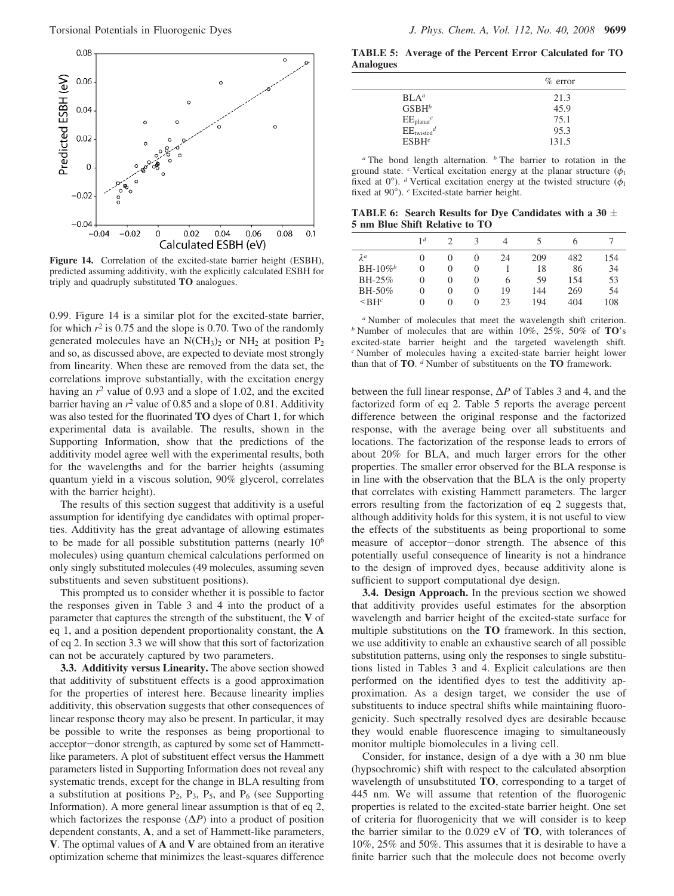

**Figure 14.** Correlation of the excited-state barrier height (ESBH), predicted assuming additivity, with the explicitly calculated ESBH for triply and quadruply substituted **TO** analogues.

0.99. Figure 14 is a similar plot for the excited-state barrier, for which  $r^2$  is 0.75 and the slope is 0.70. Two of the randomly generated molecules have an  $N(CH_3)_2$  or  $NH_2$  at position  $P_2$ and so, as discussed above, are expected to deviate most strongly from linearity. When these are removed from the data set, the correlations improve substantially, with the excitation energy having an  $r^2$  value of 0.93 and a slope of 1.02, and the excited barrier having an  $r^2$  value of 0.85 and a slope of 0.81. Additivity was also tested for the fluorinated **TO** dyes of Chart 1, for which experimental data is available. The results, shown in the Supporting Information, show that the predictions of the additivity model agree well with the experimental results, both for the wavelengths and for the barrier heights (assuming quantum yield in a viscous solution, 90% glycerol, correlates with the barrier height).

The results of this section suggest that additivity is a useful assumption for identifying dye candidates with optimal properties. Additivity has the great advantage of allowing estimates to be made for all possible substitution patterns (nearly 106 molecules) using quantum chemical calculations performed on only singly substituted molecules (49 molecules, assuming seven substituents and seven substituent positions).

This prompted us to consider whether it is possible to factor the responses given in Table 3 and 4 into the product of a parameter that captures the strength of the substituent, the **V** of eq 1, and a position dependent proportionality constant, the **A** of eq 2. In section 3.3 we will show that this sort of factorization can not be accurately captured by two parameters.

**3.3. Additivity versus Linearity.** The above section showed that additivity of substituent effects is a good approximation for the properties of interest here. Because linearity implies additivity, this observation suggests that other consequences of linear response theory may also be present. In particular, it may be possible to write the responses as being proportional to acceptor-donor strength, as captured by some set of Hammettlike parameters. A plot of substituent effect versus the Hammett parameters listed in Supporting Information does not reveal any systematic trends, except for the change in BLA resulting from a substitution at positions  $P_2$ ,  $P_3$ ,  $P_5$ , and  $P_6$  (see Supporting Information). A more general linear assumption is that of eq 2, which factorizes the response (∆*P*) into a product of position dependent constants, **A**, and a set of Hammett-like parameters, **V**. The optimal values of **A** and **V** are obtained from an iterative optimization scheme that minimizes the least-squares difference

**TABLE 5: Average of the Percent Error Calculated for TO Analogues**

|                                          | $\%$ error |
|------------------------------------------|------------|
| $BLA^a$                                  | 21.3       |
| $GSBH^b$                                 | 45.9       |
| $\overline{\text{EE}}_{\text{planar}}^c$ | 75.1       |
| $EE$ <sub>twisted</sub> <sup>d</sup>     | 95.3       |
| ESBH <sup>e</sup>                        | 131.5      |
|                                          |            |

*<sup>a</sup>* The bond length alternation. *<sup>b</sup>* The barrier to rotation in the ground state. <sup>*c*</sup> Vertical excitation energy at the planar structure ( $\phi_1$ ) fixed at 0°). <sup>*d*</sup> Vertical excitation energy at the twisted structure ( $\phi_1$ ) fixed at 90°). *<sup>e</sup>* Excited-state barrier height.

**TABLE 6: Search Results for Dye Candidates with a 30**  $\pm$ **5 nm Blue Shift Relative to TO**

|                        | 1d       |        |          |    |     |     |     |
|------------------------|----------|--------|----------|----|-----|-----|-----|
| $\lambda^a$            | 0        |        | $\theta$ | 24 | 209 | 482 | 154 |
| BH-10% $b$             | $\theta$ | 0      | $\theta$ |    | 18  | 86  | 34  |
| BH-25%                 | 0        | $_{0}$ | $\theta$ | 6  | 59  | 154 | 53  |
| BH-50%                 | $\theta$ | 0      | 0        | 19 | 144 | 269 | 54  |
| $\leq$ BH <sup>c</sup> | 0        | 0      | 0        | 23 | 194 | 404 | 108 |

*<sup>a</sup>* Number of molecules that meet the wavelength shift criterion. *<sup>b</sup>* Number of molecules that are within 10%, 25%, 50% of **TO**'s excited-state barrier height and the targeted wavelength shift. *<sup>c</sup>* Number of molecules having a excited-state barrier height lower than that of **TO**. *<sup>d</sup>* Number of substituents on the **TO** framework.

between the full linear response, ∆*P* of Tables 3 and 4, and the factorized form of eq 2. Table 5 reports the average percent difference between the original response and the factorized response, with the average being over all substituents and locations. The factorization of the response leads to errors of about 20% for BLA, and much larger errors for the other properties. The smaller error observed for the BLA response is in line with the observation that the BLA is the only property that correlates with existing Hammett parameters. The larger errors resulting from the factorization of eq 2 suggests that, although additivity holds for this system, it is not useful to view the effects of the substituents as being proportional to some measure of acceptor-donor strength. The absence of this potentially useful consequence of linearity is not a hindrance to the design of improved dyes, because additivity alone is sufficient to support computational dye design.

**3.4. Design Approach.** In the previous section we showed that additivity provides useful estimates for the absorption wavelength and barrier height of the excited-state surface for multiple substitutions on the **TO** framework. In this section, we use additivity to enable an exhaustive search of all possible substitution patterns, using only the responses to single substitutions listed in Tables 3 and 4. Explicit calculations are then performed on the identified dyes to test the additivity approximation. As a design target, we consider the use of substituents to induce spectral shifts while maintaining fluorogenicity. Such spectrally resolved dyes are desirable because they would enable fluorescence imaging to simultaneously monitor multiple biomolecules in a living cell.

Consider, for instance, design of a dye with a 30 nm blue (hypsochromic) shift with respect to the calculated absorption wavelength of unsubstituted **TO**, corresponding to a target of 445 nm. We will assume that retention of the fluorogenic properties is related to the excited-state barrier height. One set of criteria for fluorogenicity that we will consider is to keep the barrier similar to the 0.029 eV of **TO**, with tolerances of 10%, 25% and 50%. This assumes that it is desirable to have a finite barrier such that the molecule does not become overly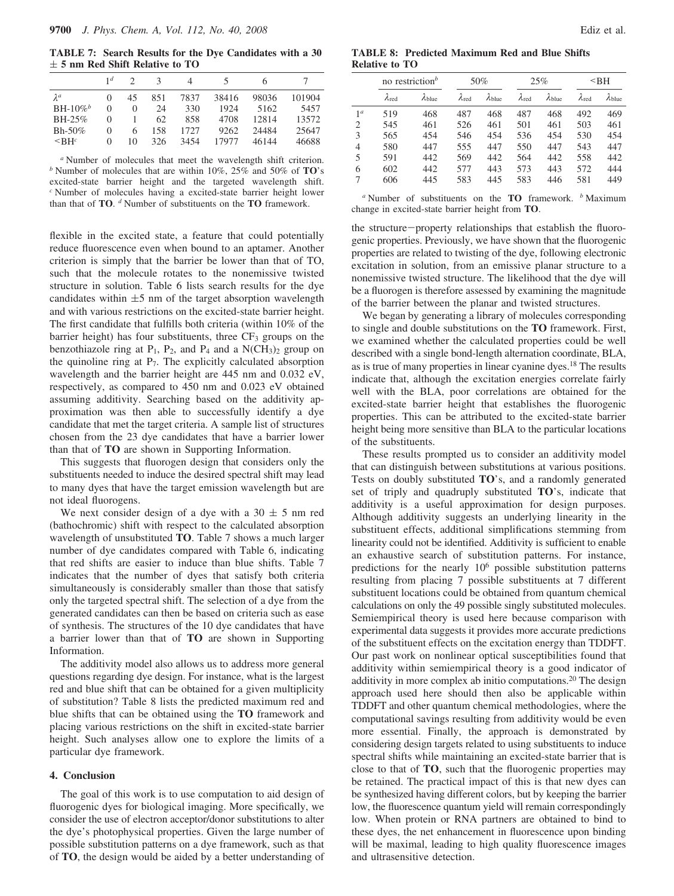**TABLE 7: Search Results for the Dye Candidates with a 30** ( **5 nm Red Shift Relative to TO**

|               | 1 <sup>d</sup>   |              | $\mathbf{a}$ |      |       |       |        |
|---------------|------------------|--------------|--------------|------|-------|-------|--------|
| $\lambda^a$   | $\left( \right)$ | 45           | 851          | 7837 | 38416 | 98036 | 101904 |
| BH-10% $b$    | 0                | $\mathbf{0}$ | 24           | 330  | 1924  | 5162  | 5457   |
| $BH-25%$      | $\theta$         |              | 62           | 858  | 4708  | 12814 | 13572  |
| $Bh-50%$      | $\Omega$         | 6            | 158          | 1727 | 9262  | 24484 | 25647  |
| $\leq$ RH $c$ | $\theta$         | 10           | 326          | 3454 | 17977 | 46144 | 46688  |

*<sup>a</sup>* Number of molecules that meet the wavelength shift criterion. *<sup>b</sup>* Number of molecules that are within 10%, 25% and 50% of **TO**'s excited-state barrier height and the targeted wavelength shift. *<sup>c</sup>* Number of molecules having a excited-state barrier height lower than that of **TO**. *<sup>d</sup>* Number of substituents on the **TO** framework.

flexible in the excited state, a feature that could potentially reduce fluorescence even when bound to an aptamer. Another criterion is simply that the barrier be lower than that of TO, such that the molecule rotates to the nonemissive twisted structure in solution. Table 6 lists search results for the dye candidates within  $\pm 5$  nm of the target absorption wavelength and with various restrictions on the excited-state barrier height. The first candidate that fulfills both criteria (within 10% of the barrier height) has four substituents, three  $CF_3$  groups on the benzothiazole ring at  $P_1$ ,  $P_2$ , and  $P_4$  and a N(CH<sub>3</sub>)<sub>2</sub> group on the quinoline ring at P7. The explicitly calculated absorption wavelength and the barrier height are 445 nm and 0.032 eV, respectively, as compared to 450 nm and 0.023 eV obtained assuming additivity. Searching based on the additivity approximation was then able to successfully identify a dye candidate that met the target criteria. A sample list of structures chosen from the 23 dye candidates that have a barrier lower than that of **TO** are shown in Supporting Information.

This suggests that fluorogen design that considers only the substituents needed to induce the desired spectral shift may lead to many dyes that have the target emission wavelength but are not ideal fluorogens.

We next consider design of a dye with a 30  $\pm$  5 nm red (bathochromic) shift with respect to the calculated absorption wavelength of unsubstituted **TO**. Table 7 shows a much larger number of dye candidates compared with Table 6, indicating that red shifts are easier to induce than blue shifts. Table 7 indicates that the number of dyes that satisfy both criteria simultaneously is considerably smaller than those that satisfy only the targeted spectral shift. The selection of a dye from the generated candidates can then be based on criteria such as ease of synthesis. The structures of the 10 dye candidates that have a barrier lower than that of **TO** are shown in Supporting Information.

The additivity model also allows us to address more general questions regarding dye design. For instance, what is the largest red and blue shift that can be obtained for a given multiplicity of substitution? Table 8 lists the predicted maximum red and blue shifts that can be obtained using the **TO** framework and placing various restrictions on the shift in excited-state barrier height. Such analyses allow one to explore the limits of a particular dye framework.

#### **4. Conclusion**

The goal of this work is to use computation to aid design of fluorogenic dyes for biological imaging. More specifically, we consider the use of electron acceptor/donor substitutions to alter the dye's photophysical properties. Given the large number of possible substitution patterns on a dye framework, such as that of **TO**, the design would be aided by a better understanding of

**TABLE 8: Predicted Maximum Red and Blue Shifts Relative to TO**

|                | no restriction <sup>b</sup> |                  | 50%                 |                  | 25%                 |                  | $\leq$ BH           |                  |
|----------------|-----------------------------|------------------|---------------------|------------------|---------------------|------------------|---------------------|------------------|
|                | $\lambda_{\rm red}$         | $\lambda_{blue}$ | $\lambda_{\rm red}$ | $\lambda_{blue}$ | $\lambda_{\rm red}$ | $\lambda_{blue}$ | $\lambda_{\rm red}$ | $\lambda_{blue}$ |
| 1 <sup>a</sup> | 519                         | 468              | 487                 | 468              | 487                 | 468              | 492                 | 469              |
| $\overline{2}$ | 545                         | 461              | 526                 | 461              | 501                 | 461              | 503                 | 461              |
| 3              | 565                         | 454              | 546                 | 454              | 536                 | 454              | 530                 | 454              |
| $\overline{4}$ | 580                         | 447              | 555                 | 447              | 550                 | 447              | 543                 | 447              |
| 5              | 591                         | 442              | 569                 | 442              | 564                 | 442              | 558                 | 442              |
| 6              | 602                         | 442              | 577                 | 443              | 573                 | 443              | 572                 | 444              |
| 7              | 606                         | 445              | 583                 | 445              | 583                 | 446              | 581                 | 449              |

*<sup>a</sup>* Number of substituents on the **TO** framework. *<sup>b</sup>* Maximum change in excited-state barrier height from **TO**.

the structure-property relationships that establish the fluorogenic properties. Previously, we have shown that the fluorogenic properties are related to twisting of the dye, following electronic excitation in solution, from an emissive planar structure to a nonemissive twisted structure. The likelihood that the dye will be a fluorogen is therefore assessed by examining the magnitude of the barrier between the planar and twisted structures.

We began by generating a library of molecules corresponding to single and double substitutions on the **TO** framework. First, we examined whether the calculated properties could be well described with a single bond-length alternation coordinate, BLA, as is true of many properties in linear cyanine dyes.18 The results indicate that, although the excitation energies correlate fairly well with the BLA, poor correlations are obtained for the excited-state barrier height that establishes the fluorogenic properties. This can be attributed to the excited-state barrier height being more sensitive than BLA to the particular locations of the substituents.

These results prompted us to consider an additivity model that can distinguish between substitutions at various positions. Tests on doubly substituted **TO**'s, and a randomly generated set of triply and quadruply substituted **TO**'s, indicate that additivity is a useful approximation for design purposes. Although additivity suggests an underlying linearity in the substituent effects, additional simplifications stemming from linearity could not be identified. Additivity is sufficient to enable an exhaustive search of substitution patterns. For instance, predictions for the nearly 106 possible substitution patterns resulting from placing 7 possible substituents at 7 different substituent locations could be obtained from quantum chemical calculations on only the 49 possible singly substituted molecules. Semiempirical theory is used here because comparison with experimental data suggests it provides more accurate predictions of the substituent effects on the excitation energy than TDDFT. Our past work on nonlinear optical susceptibilities found that additivity within semiempirical theory is a good indicator of additivity in more complex ab initio computations.<sup>20</sup> The design approach used here should then also be applicable within TDDFT and other quantum chemical methodologies, where the computational savings resulting from additivity would be even more essential. Finally, the approach is demonstrated by considering design targets related to using substituents to induce spectral shifts while maintaining an excited-state barrier that is close to that of **TO**, such that the fluorogenic properties may be retained. The practical impact of this is that new dyes can be synthesized having different colors, but by keeping the barrier low, the fluorescence quantum yield will remain correspondingly low. When protein or RNA partners are obtained to bind to these dyes, the net enhancement in fluorescence upon binding will be maximal, leading to high quality fluorescence images and ultrasensitive detection.